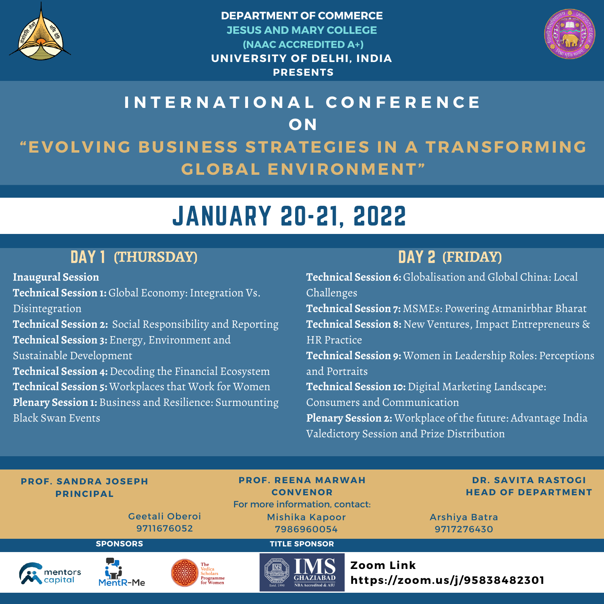

**DEPARTMENT OF COMMERCE JESUS AND MARY COLLEGE (NAAC ACCREDITED A+) UNIVERSITY OF DELHI, INDIA PRESENTS**



## **I N T E R N A T I O N A L C O N F E R E N C E O N "EVOLVING BUSINESS STRATEGIES IN A TRANSFORMING GLOBAL ENVIRONMENT"**

# JANUARY 20-21, 2022

## DAY 1 (THURSDAY)

**Inaugural Session Technical Session 1:** Global Economy: Integration Vs. Disintegration **Technical Session 2:** Social Responsibility and Reporting **Technical Session 3:** Energy, Environment and Sustainable Development **Technical Session 4:** Decoding the Financial Ecosystem **Technical Session 5:** Workplaces that Work for Women **Plenary Session 1:** Business and Resilience: Surmounting Black Swan Events

## DAY 2 **(THURSDAY) (FRIDAY)**

**Technical Session 6:** Globalisation and Global China: Local Challenges **Technical Session 7:** MSMEs: Powering Atmanirbhar Bharat **Technical Session 8:** New Ventures, Impact Entrepreneurs & HR Practice **Technical Session 9:** Women in Leadership Roles: Perceptions and Portraits **Technical Session 10:** Digital Marketing Landscape: Consumers and Communication **Plenary Session 2:** Workplace of the future: Advantage India Valedictory Session and Prize Distribution

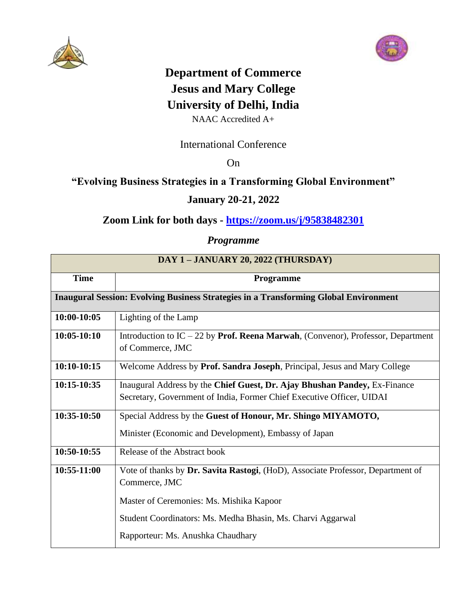



## **Department of Commerce Jesus and Mary College University of Delhi, India**

NAAC Accredited A+

#### International Conference

On

#### **"Evolving Business Strategies in a Transforming Global Environment"**

#### **January 20-21, 2022**

### **Zoom Link for both days - <https://zoom.us/j/95838482301>**

#### *Programme*

| DAY 1-JANUARY 20, 2022 (THURSDAY)                                                           |                                                                                                                                                    |
|---------------------------------------------------------------------------------------------|----------------------------------------------------------------------------------------------------------------------------------------------------|
| <b>Time</b>                                                                                 | Programme                                                                                                                                          |
| <b>Inaugural Session: Evolving Business Strategies in a Transforming Global Environment</b> |                                                                                                                                                    |
| 10:00-10:05                                                                                 | Lighting of the Lamp                                                                                                                               |
| $10:05-10:10$                                                                               | Introduction to IC $-22$ by Prof. Reena Marwah, (Convenor), Professor, Department<br>of Commerce, JMC                                              |
| $10:10-10:15$                                                                               | Welcome Address by Prof. Sandra Joseph, Principal, Jesus and Mary College                                                                          |
| 10:15-10:35                                                                                 | Inaugural Address by the Chief Guest, Dr. Ajay Bhushan Pandey, Ex-Finance<br>Secretary, Government of India, Former Chief Executive Officer, UIDAI |
| 10:35-10:50                                                                                 | Special Address by the Guest of Honour, Mr. Shingo MIYAMOTO,                                                                                       |
|                                                                                             | Minister (Economic and Development), Embassy of Japan                                                                                              |
| 10:50-10:55                                                                                 | Release of the Abstract book                                                                                                                       |
| 10:55-11:00                                                                                 | Vote of thanks by Dr. Savita Rastogi, (HoD), Associate Professor, Department of<br>Commerce, JMC                                                   |
|                                                                                             | Master of Ceremonies: Ms. Mishika Kapoor                                                                                                           |
|                                                                                             | Student Coordinators: Ms. Medha Bhasin, Ms. Charvi Aggarwal                                                                                        |
|                                                                                             | Rapporteur: Ms. Anushka Chaudhary                                                                                                                  |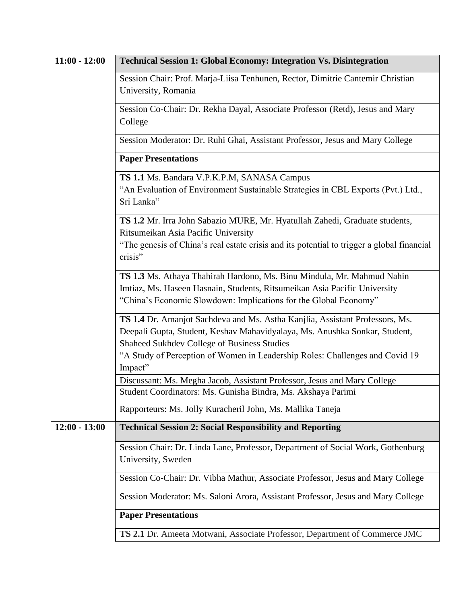| $11:00 - 12:00$ | <b>Technical Session 1: Global Economy: Integration Vs. Disintegration</b>                                                                                                                                                                                                                |
|-----------------|-------------------------------------------------------------------------------------------------------------------------------------------------------------------------------------------------------------------------------------------------------------------------------------------|
|                 | Session Chair: Prof. Marja-Liisa Tenhunen, Rector, Dimitrie Cantemir Christian<br>University, Romania                                                                                                                                                                                     |
|                 | Session Co-Chair: Dr. Rekha Dayal, Associate Professor (Retd), Jesus and Mary<br>College                                                                                                                                                                                                  |
|                 | Session Moderator: Dr. Ruhi Ghai, Assistant Professor, Jesus and Mary College                                                                                                                                                                                                             |
|                 | <b>Paper Presentations</b>                                                                                                                                                                                                                                                                |
|                 | TS 1.1 Ms. Bandara V.P.K.P.M, SANASA Campus                                                                                                                                                                                                                                               |
|                 | "An Evaluation of Environment Sustainable Strategies in CBL Exports (Pvt.) Ltd.,<br>Sri Lanka"                                                                                                                                                                                            |
|                 | TS 1.2 Mr. Irra John Sabazio MURE, Mr. Hyatullah Zahedi, Graduate students,<br>Ritsumeikan Asia Pacific University                                                                                                                                                                        |
|                 | "The genesis of China's real estate crisis and its potential to trigger a global financial<br>crisis"                                                                                                                                                                                     |
|                 | TS 1.3 Ms. Athaya Thahirah Hardono, Ms. Binu Mindula, Mr. Mahmud Nahin<br>Imtiaz, Ms. Haseen Hasnain, Students, Ritsumeikan Asia Pacific University<br>"China's Economic Slowdown: Implications for the Global Economy"                                                                   |
|                 | TS 1.4 Dr. Amanjot Sachdeva and Ms. Astha Kanjlia, Assistant Professors, Ms.<br>Deepali Gupta, Student, Keshav Mahavidyalaya, Ms. Anushka Sonkar, Student,<br>Shaheed Sukhdev College of Business Studies<br>"A Study of Perception of Women in Leadership Roles: Challenges and Covid 19 |
|                 | Impact"                                                                                                                                                                                                                                                                                   |
|                 | Discussant: Ms. Megha Jacob, Assistant Professor, Jesus and Mary College<br>Student Coordinators: Ms. Gunisha Bindra, Ms. Akshaya Parimi                                                                                                                                                  |
|                 | Rapporteurs: Ms. Jolly Kuracheril John, Ms. Mallika Taneja                                                                                                                                                                                                                                |
| $12:00 - 13:00$ | <b>Technical Session 2: Social Responsibility and Reporting</b>                                                                                                                                                                                                                           |
|                 | Session Chair: Dr. Linda Lane, Professor, Department of Social Work, Gothenburg<br>University, Sweden                                                                                                                                                                                     |
|                 | Session Co-Chair: Dr. Vibha Mathur, Associate Professor, Jesus and Mary College                                                                                                                                                                                                           |
|                 | Session Moderator: Ms. Saloni Arora, Assistant Professor, Jesus and Mary College                                                                                                                                                                                                          |
|                 | <b>Paper Presentations</b>                                                                                                                                                                                                                                                                |
|                 | TS 2.1 Dr. Ameeta Motwani, Associate Professor, Department of Commerce JMC                                                                                                                                                                                                                |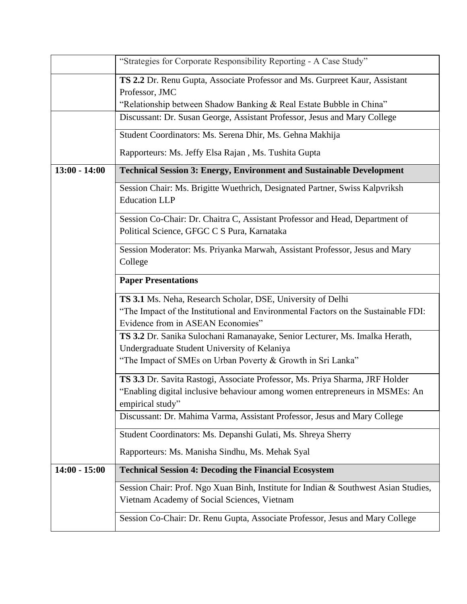|                 | "Strategies for Corporate Responsibility Reporting - A Case Study"                                                                                                                     |
|-----------------|----------------------------------------------------------------------------------------------------------------------------------------------------------------------------------------|
|                 | TS 2.2 Dr. Renu Gupta, Associate Professor and Ms. Gurpreet Kaur, Assistant<br>Professor, JMC<br>"Relationship between Shadow Banking & Real Estate Bubble in China"                   |
|                 | Discussant: Dr. Susan George, Assistant Professor, Jesus and Mary College                                                                                                              |
|                 | Student Coordinators: Ms. Serena Dhir, Ms. Gehna Makhija                                                                                                                               |
|                 | Rapporteurs: Ms. Jeffy Elsa Rajan, Ms. Tushita Gupta                                                                                                                                   |
| $13:00 - 14:00$ | <b>Technical Session 3: Energy, Environment and Sustainable Development</b>                                                                                                            |
|                 | Session Chair: Ms. Brigitte Wuethrich, Designated Partner, Swiss Kalpvriksh<br><b>Education LLP</b>                                                                                    |
|                 | Session Co-Chair: Dr. Chaitra C, Assistant Professor and Head, Department of<br>Political Science, GFGC C S Pura, Karnataka                                                            |
|                 | Session Moderator: Ms. Priyanka Marwah, Assistant Professor, Jesus and Mary<br>College                                                                                                 |
|                 | <b>Paper Presentations</b>                                                                                                                                                             |
|                 | TS 3.1 Ms. Neha, Research Scholar, DSE, University of Delhi<br>"The Impact of the Institutional and Environmental Factors on the Sustainable FDI:<br>Evidence from in ASEAN Economies" |
|                 | TS 3.2 Dr. Sanika Sulochani Ramanayake, Senior Lecturer, Ms. Imalka Herath,<br>Undergraduate Student University of Kelaniya                                                            |
|                 | "The Impact of SMEs on Urban Poverty & Growth in Sri Lanka"                                                                                                                            |
|                 | TS 3.3 Dr. Savita Rastogi, Associate Professor, Ms. Priya Sharma, JRF Holder<br>"Enabling digital inclusive behaviour among women entrepreneurs in MSMEs: An<br>empirical study"       |
|                 | Discussant: Dr. Mahima Varma, Assistant Professor, Jesus and Mary College                                                                                                              |
|                 | Student Coordinators: Ms. Depanshi Gulati, Ms. Shreya Sherry                                                                                                                           |
|                 | Rapporteurs: Ms. Manisha Sindhu, Ms. Mehak Syal                                                                                                                                        |
| $14:00 - 15:00$ | <b>Technical Session 4: Decoding the Financial Ecosystem</b>                                                                                                                           |
|                 | Session Chair: Prof. Ngo Xuan Binh, Institute for Indian & Southwest Asian Studies,<br>Vietnam Academy of Social Sciences, Vietnam                                                     |
|                 | Session Co-Chair: Dr. Renu Gupta, Associate Professor, Jesus and Mary College                                                                                                          |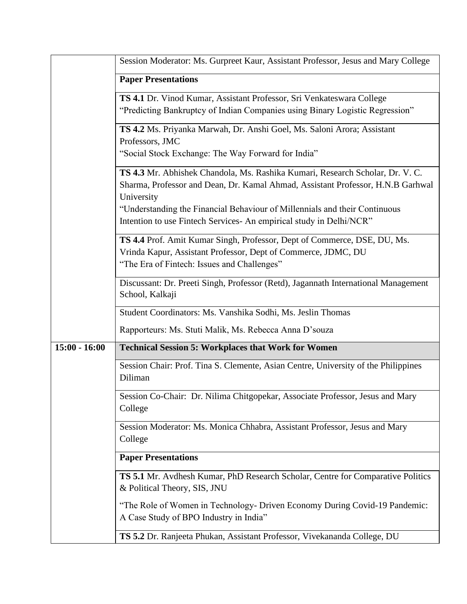|                 | Session Moderator: Ms. Gurpreet Kaur, Assistant Professor, Jesus and Mary College                                                                                                        |
|-----------------|------------------------------------------------------------------------------------------------------------------------------------------------------------------------------------------|
|                 | <b>Paper Presentations</b>                                                                                                                                                               |
|                 | TS 4.1 Dr. Vinod Kumar, Assistant Professor, Sri Venkateswara College<br>"Predicting Bankruptcy of Indian Companies using Binary Logistic Regression"                                    |
|                 | TS 4.2 Ms. Priyanka Marwah, Dr. Anshi Goel, Ms. Saloni Arora; Assistant<br>Professors, JMC                                                                                               |
|                 | "Social Stock Exchange: The Way Forward for India"                                                                                                                                       |
|                 | TS 4.3 Mr. Abhishek Chandola, Ms. Rashika Kumari, Research Scholar, Dr. V. C.<br>Sharma, Professor and Dean, Dr. Kamal Ahmad, Assistant Professor, H.N.B Garhwal<br>University           |
|                 | "Understanding the Financial Behaviour of Millennials and their Continuous<br>Intention to use Fintech Services- An empirical study in Delhi/NCR"                                        |
|                 | TS 4.4 Prof. Amit Kumar Singh, Professor, Dept of Commerce, DSE, DU, Ms.<br>Vrinda Kapur, Assistant Professor, Dept of Commerce, JDMC, DU<br>"The Era of Fintech: Issues and Challenges" |
|                 | Discussant: Dr. Preeti Singh, Professor (Retd), Jagannath International Management<br>School, Kalkaji                                                                                    |
|                 | Student Coordinators: Ms. Vanshika Sodhi, Ms. Jeslin Thomas                                                                                                                              |
|                 | Rapporteurs: Ms. Stuti Malik, Ms. Rebecca Anna D'souza                                                                                                                                   |
| $15:00 - 16:00$ | <b>Technical Session 5: Workplaces that Work for Women</b>                                                                                                                               |
|                 | Session Chair: Prof. Tina S. Clemente, Asian Centre, University of the Philippines<br>Diliman                                                                                            |
|                 | Session Co-Chair: Dr. Nilima Chitgopekar, Associate Professor, Jesus and Mary<br>College                                                                                                 |
|                 | Session Moderator: Ms. Monica Chhabra, Assistant Professor, Jesus and Mary<br>College                                                                                                    |
|                 | <b>Paper Presentations</b>                                                                                                                                                               |
|                 | TS 5.1 Mr. Avdhesh Kumar, PhD Research Scholar, Centre for Comparative Politics<br>& Political Theory, SIS, JNU                                                                          |
|                 | "The Role of Women in Technology- Driven Economy During Covid-19 Pandemic:<br>A Case Study of BPO Industry in India"                                                                     |
|                 | TS 5.2 Dr. Ranjeeta Phukan, Assistant Professor, Vivekananda College, DU                                                                                                                 |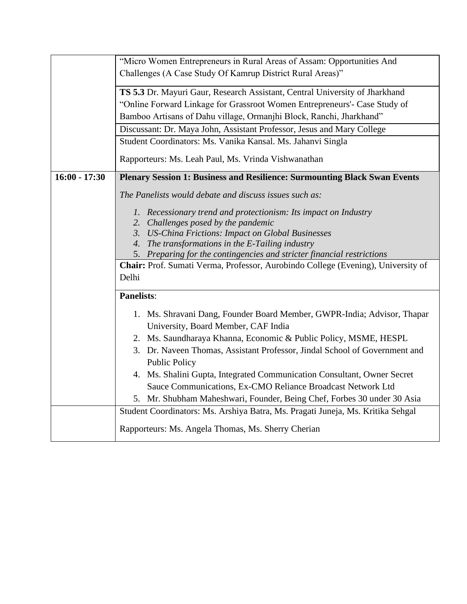|                 | "Micro Women Entrepreneurs in Rural Areas of Assam: Opportunities And            |
|-----------------|----------------------------------------------------------------------------------|
|                 | Challenges (A Case Study Of Kamrup District Rural Areas)"                        |
|                 |                                                                                  |
|                 | TS 5.3 Dr. Mayuri Gaur, Research Assistant, Central University of Jharkhand      |
|                 | "Online Forward Linkage for Grassroot Women Entrepreneurs'- Case Study of        |
|                 | Bamboo Artisans of Dahu village, Ormanjhi Block, Ranchi, Jharkhand"              |
|                 | Discussant: Dr. Maya John, Assistant Professor, Jesus and Mary College           |
|                 | Student Coordinators: Ms. Vanika Kansal. Ms. Jahanvi Singla                      |
|                 | Rapporteurs: Ms. Leah Paul, Ms. Vrinda Vishwanathan                              |
| $16:00 - 17:30$ | Plenary Session 1: Business and Resilience: Surmounting Black Swan Events        |
|                 | The Panelists would debate and discuss issues such as:                           |
|                 | 1. Recessionary trend and protectionism: Its impact on Industry                  |
|                 | 2. Challenges posed by the pandemic                                              |
|                 | 3. US-China Frictions: Impact on Global Businesses                               |
|                 | 4. The transformations in the E-Tailing industry                                 |
|                 | 5. Preparing for the contingencies and stricter financial restrictions           |
|                 | Chair: Prof. Sumati Verma, Professor, Aurobindo College (Evening), University of |
|                 | Delhi                                                                            |
|                 | <b>Panelists:</b>                                                                |
|                 | 1. Ms. Shravani Dang, Founder Board Member, GWPR-India; Advisor, Thapar          |
|                 | University, Board Member, CAF India                                              |
|                 | 2. Ms. Saundharaya Khanna, Economic & Public Policy, MSME, HESPL                 |
|                 | 3. Dr. Naveen Thomas, Assistant Professor, Jindal School of Government and       |
|                 | <b>Public Policy</b>                                                             |
|                 | 4. Ms. Shalini Gupta, Integrated Communication Consultant, Owner Secret          |
|                 | Sauce Communications, Ex-CMO Reliance Broadcast Network Ltd                      |
|                 | 5. Mr. Shubham Maheshwari, Founder, Being Chef, Forbes 30 under 30 Asia          |
|                 | Student Coordinators: Ms. Arshiya Batra, Ms. Pragati Juneja, Ms. Kritika Sehgal  |
|                 |                                                                                  |
|                 | Rapporteurs: Ms. Angela Thomas, Ms. Sherry Cherian                               |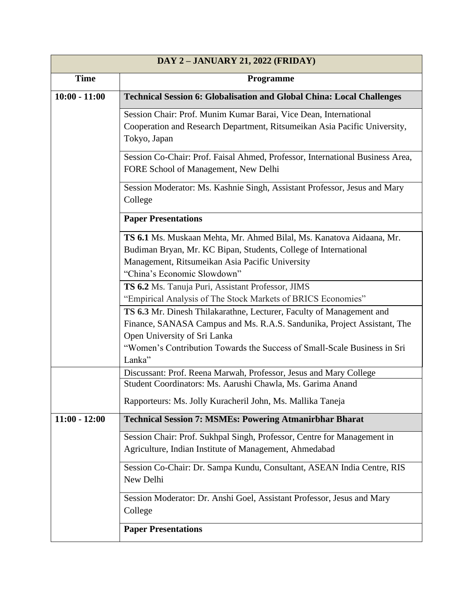| DAY 2 - JANUARY 21, 2022 (FRIDAY) |                                                                                                                                                                                                                                                                       |
|-----------------------------------|-----------------------------------------------------------------------------------------------------------------------------------------------------------------------------------------------------------------------------------------------------------------------|
| <b>Time</b>                       | Programme                                                                                                                                                                                                                                                             |
| $10:00 - 11:00$                   | <b>Technical Session 6: Globalisation and Global China: Local Challenges</b>                                                                                                                                                                                          |
|                                   | Session Chair: Prof. Munim Kumar Barai, Vice Dean, International<br>Cooperation and Research Department, Ritsumeikan Asia Pacific University,<br>Tokyo, Japan                                                                                                         |
|                                   | Session Co-Chair: Prof. Faisal Ahmed, Professor, International Business Area,<br>FORE School of Management, New Delhi                                                                                                                                                 |
|                                   | Session Moderator: Ms. Kashnie Singh, Assistant Professor, Jesus and Mary<br>College                                                                                                                                                                                  |
|                                   | <b>Paper Presentations</b>                                                                                                                                                                                                                                            |
|                                   | TS 6.1 Ms. Muskaan Mehta, Mr. Ahmed Bilal, Ms. Kanatova Aidaana, Mr.<br>Budiman Bryan, Mr. KC Bipan, Students, College of International<br>Management, Ritsumeikan Asia Pacific University<br>"China's Economic Slowdown"                                             |
|                                   | TS 6.2 Ms. Tanuja Puri, Assistant Professor, JIMS<br>"Empirical Analysis of The Stock Markets of BRICS Economies"                                                                                                                                                     |
|                                   | TS 6.3 Mr. Dinesh Thilakarathne, Lecturer, Faculty of Management and<br>Finance, SANASA Campus and Ms. R.A.S. Sandunika, Project Assistant, The<br>Open University of Sri Lanka<br>"Women's Contribution Towards the Success of Small-Scale Business in Sri<br>Lanka" |
|                                   | Discussant: Prof. Reena Marwah, Professor, Jesus and Mary College                                                                                                                                                                                                     |
|                                   | Student Coordinators: Ms. Aarushi Chawla, Ms. Garima Anand                                                                                                                                                                                                            |
|                                   | Rapporteurs: Ms. Jolly Kuracheril John, Ms. Mallika Taneja                                                                                                                                                                                                            |
| $11:00 - 12:00$                   | <b>Technical Session 7: MSMEs: Powering Atmanirbhar Bharat</b>                                                                                                                                                                                                        |
|                                   | Session Chair: Prof. Sukhpal Singh, Professor, Centre for Management in<br>Agriculture, Indian Institute of Management, Ahmedabad                                                                                                                                     |
|                                   | Session Co-Chair: Dr. Sampa Kundu, Consultant, ASEAN India Centre, RIS<br>New Delhi                                                                                                                                                                                   |
|                                   | Session Moderator: Dr. Anshi Goel, Assistant Professor, Jesus and Mary<br>College                                                                                                                                                                                     |
|                                   | <b>Paper Presentations</b>                                                                                                                                                                                                                                            |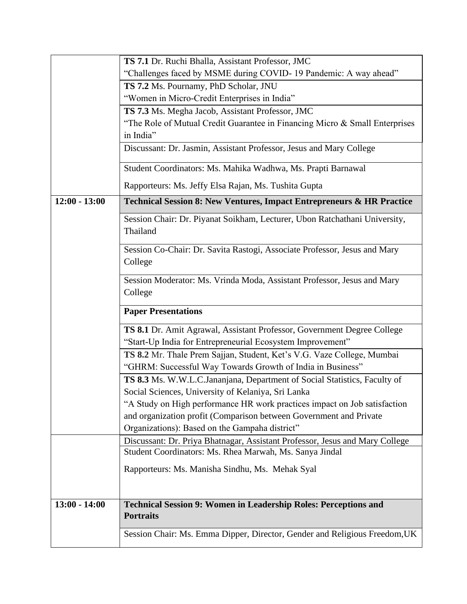|                 | TS 7.1 Dr. Ruchi Bhalla, Assistant Professor, JMC                                      |
|-----------------|----------------------------------------------------------------------------------------|
|                 | "Challenges faced by MSME during COVID-19 Pandemic: A way ahead"                       |
|                 | TS 7.2 Ms. Pournamy, PhD Scholar, JNU                                                  |
|                 | "Women in Micro-Credit Enterprises in India"                                           |
|                 | TS 7.3 Ms. Megha Jacob, Assistant Professor, JMC                                       |
|                 | "The Role of Mutual Credit Guarantee in Financing Micro & Small Enterprises            |
|                 | in India"                                                                              |
|                 | Discussant: Dr. Jasmin, Assistant Professor, Jesus and Mary College                    |
|                 | Student Coordinators: Ms. Mahika Wadhwa, Ms. Prapti Barnawal                           |
|                 | Rapporteurs: Ms. Jeffy Elsa Rajan, Ms. Tushita Gupta                                   |
| $12:00 - 13:00$ | <b>Technical Session 8: New Ventures, Impact Entrepreneurs &amp; HR Practice</b>       |
|                 | Session Chair: Dr. Piyanat Soikham, Lecturer, Ubon Ratchathani University,<br>Thailand |
|                 | Session Co-Chair: Dr. Savita Rastogi, Associate Professor, Jesus and Mary<br>College   |
|                 | Session Moderator: Ms. Vrinda Moda, Assistant Professor, Jesus and Mary<br>College     |
|                 | <b>Paper Presentations</b>                                                             |
|                 | TS 8.1 Dr. Amit Agrawal, Assistant Professor, Government Degree College                |
|                 | "Start-Up India for Entrepreneurial Ecosystem Improvement"                             |
|                 | TS 8.2 Mr. Thale Prem Sajjan, Student, Ket's V.G. Vaze College, Mumbai                 |
|                 | "GHRM: Successful Way Towards Growth of India in Business"                             |
|                 | TS 8.3 Ms. W.W.L.C.Jananjana, Department of Social Statistics, Faculty of              |
|                 | Social Sciences, University of Kelaniya, Sri Lanka                                     |
|                 | "A Study on High performance HR work practices impact on Job satisfaction              |
|                 | and organization profit (Comparison between Government and Private                     |
|                 | Organizations): Based on the Gampaha district"                                         |
|                 | Discussant: Dr. Priya Bhatnagar, Assistant Professor, Jesus and Mary College           |
|                 | Student Coordinators: Ms. Rhea Marwah, Ms. Sanya Jindal                                |
|                 | Rapporteurs: Ms. Manisha Sindhu, Ms. Mehak Syal                                        |
|                 |                                                                                        |
| $13:00 - 14:00$ | <b>Technical Session 9: Women in Leadership Roles: Perceptions and</b>                 |
|                 | <b>Portraits</b>                                                                       |
|                 | Session Chair: Ms. Emma Dipper, Director, Gender and Religious Freedom, UK             |
|                 |                                                                                        |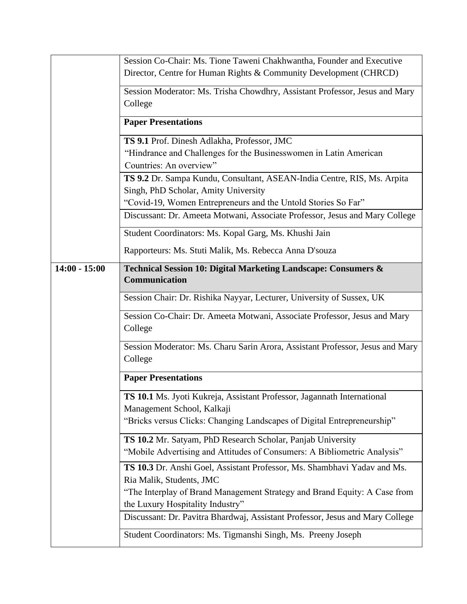|                 | Session Co-Chair: Ms. Tione Taweni Chakhwantha, Founder and Executive                                           |
|-----------------|-----------------------------------------------------------------------------------------------------------------|
|                 | Director, Centre for Human Rights & Community Development (CHRCD)                                               |
|                 | Session Moderator: Ms. Trisha Chowdhry, Assistant Professor, Jesus and Mary                                     |
|                 | College                                                                                                         |
|                 | <b>Paper Presentations</b>                                                                                      |
|                 | TS 9.1 Prof. Dinesh Adlakha, Professor, JMC                                                                     |
|                 | "Hindrance and Challenges for the Businesswomen in Latin American                                               |
|                 | Countries: An overview"                                                                                         |
|                 | TS 9.2 Dr. Sampa Kundu, Consultant, ASEAN-India Centre, RIS, Ms. Arpita<br>Singh, PhD Scholar, Amity University |
|                 | "Covid-19, Women Entrepreneurs and the Untold Stories So Far"                                                   |
|                 | Discussant: Dr. Ameeta Motwani, Associate Professor, Jesus and Mary College                                     |
|                 | Student Coordinators: Ms. Kopal Garg, Ms. Khushi Jain                                                           |
|                 | Rapporteurs: Ms. Stuti Malik, Ms. Rebecca Anna D'souza                                                          |
| $14:00 - 15:00$ | Technical Session 10: Digital Marketing Landscape: Consumers &<br>Communication                                 |
|                 | Session Chair: Dr. Rishika Nayyar, Lecturer, University of Sussex, UK                                           |
|                 | Session Co-Chair: Dr. Ameeta Motwani, Associate Professor, Jesus and Mary                                       |
|                 | College                                                                                                         |
|                 | Session Moderator: Ms. Charu Sarin Arora, Assistant Professor, Jesus and Mary<br>College                        |
|                 | <b>Paper Presentations</b>                                                                                      |
|                 | TS 10.1 Ms. Jyoti Kukreja, Assistant Professor, Jagannath International                                         |
|                 | Management School, Kalkaji                                                                                      |
|                 | "Bricks versus Clicks: Changing Landscapes of Digital Entrepreneurship"                                         |
|                 | TS 10.2 Mr. Satyam, PhD Research Scholar, Panjab University                                                     |
|                 | "Mobile Advertising and Attitudes of Consumers: A Bibliometric Analysis"                                        |
|                 | TS 10.3 Dr. Anshi Goel, Assistant Professor, Ms. Shambhavi Yadav and Ms.<br>Ria Malik, Students, JMC            |
|                 | "The Interplay of Brand Management Strategy and Brand Equity: A Case from                                       |
|                 | the Luxury Hospitality Industry"                                                                                |
|                 | Discussant: Dr. Pavitra Bhardwaj, Assistant Professor, Jesus and Mary College                                   |
|                 | Student Coordinators: Ms. Tigmanshi Singh, Ms. Preeny Joseph                                                    |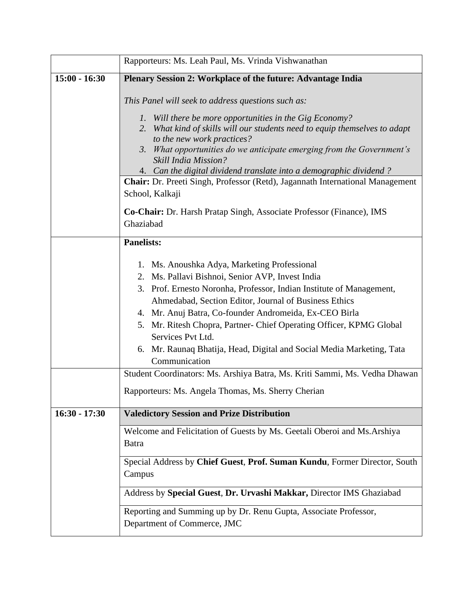|                 | Rapporteurs: Ms. Leah Paul, Ms. Vrinda Vishwanathan                                                                                                                                                                                                                                                                                                                                                                                                                                                                                                                                                                      |
|-----------------|--------------------------------------------------------------------------------------------------------------------------------------------------------------------------------------------------------------------------------------------------------------------------------------------------------------------------------------------------------------------------------------------------------------------------------------------------------------------------------------------------------------------------------------------------------------------------------------------------------------------------|
| $15:00 - 16:30$ | Plenary Session 2: Workplace of the future: Advantage India                                                                                                                                                                                                                                                                                                                                                                                                                                                                                                                                                              |
|                 | This Panel will seek to address questions such as:                                                                                                                                                                                                                                                                                                                                                                                                                                                                                                                                                                       |
|                 | 1. Will there be more opportunities in the Gig Economy?<br>2. What kind of skills will our students need to equip themselves to adapt<br>to the new work practices?<br>3. What opportunities do we anticipate emerging from the Government's<br><b>Skill India Mission?</b><br>4. Can the digital dividend translate into a demographic dividend?                                                                                                                                                                                                                                                                        |
|                 | <b>Chair:</b> Dr. Preeti Singh, Professor (Retd), Jagannath International Management<br>School, Kalkaji                                                                                                                                                                                                                                                                                                                                                                                                                                                                                                                  |
|                 | Co-Chair: Dr. Harsh Pratap Singh, Associate Professor (Finance), IMS<br>Ghaziabad                                                                                                                                                                                                                                                                                                                                                                                                                                                                                                                                        |
|                 | <b>Panelists:</b>                                                                                                                                                                                                                                                                                                                                                                                                                                                                                                                                                                                                        |
|                 | 1. Ms. Anoushka Adya, Marketing Professional<br>2. Ms. Pallavi Bishnoi, Senior AVP, Invest India<br>3. Prof. Ernesto Noronha, Professor, Indian Institute of Management,<br>Ahmedabad, Section Editor, Journal of Business Ethics<br>4. Mr. Anuj Batra, Co-founder Andromeida, Ex-CEO Birla<br>5. Mr. Ritesh Chopra, Partner- Chief Operating Officer, KPMG Global<br>Services Pvt Ltd.<br>Mr. Raunaq Bhatija, Head, Digital and Social Media Marketing, Tata<br>6.<br>Communication<br>Student Coordinators: Ms. Arshiya Batra, Ms. Kriti Sammi, Ms. Vedha Dhawan<br>Rapporteurs: Ms. Angela Thomas, Ms. Sherry Cherian |
| $16:30 - 17:30$ | <b>Valedictory Session and Prize Distribution</b>                                                                                                                                                                                                                                                                                                                                                                                                                                                                                                                                                                        |
|                 | Welcome and Felicitation of Guests by Ms. Geetali Oberoi and Ms. Arshiya<br><b>Batra</b><br>Special Address by Chief Guest, Prof. Suman Kundu, Former Director, South<br>Campus                                                                                                                                                                                                                                                                                                                                                                                                                                          |
|                 | Address by Special Guest, Dr. Urvashi Makkar, Director IMS Ghaziabad                                                                                                                                                                                                                                                                                                                                                                                                                                                                                                                                                     |
|                 | Reporting and Summing up by Dr. Renu Gupta, Associate Professor,<br>Department of Commerce, JMC                                                                                                                                                                                                                                                                                                                                                                                                                                                                                                                          |